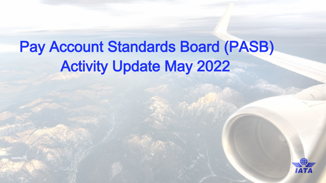# Pay Account Standards Board (PASB) Activity Update May 2022

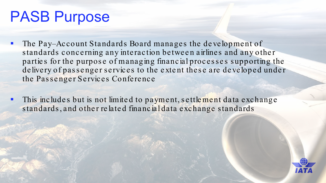#### PASB Purpose

- The Pay–Account Standards Board manages the development of standards concerning any interaction between airlines and any other parties for the purpose of managing financial processes supporting the de livery of passenger services to the extent these are developed under the Passenger Services Conference
- This includes but is not limited to payment, settlement data exchange standards, and other related financial data exchange standards

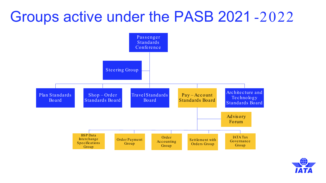#### Groups active under the PASB 2021-2022



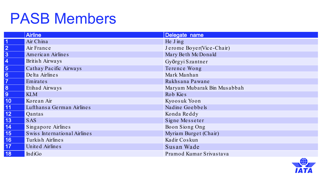#### PASB Members

|                 | <b>Airline</b>               | Delegate name               |
|-----------------|------------------------------|-----------------------------|
|                 | Air China                    | He J ing                    |
| 2               | Air France                   | Jerome Boyer(Vice-Chair)    |
| $\overline{3}$  | American Airlines            | Mary Beth McDonald          |
| $\overline{4}$  | British Airways              | Györgyi Szantner            |
| $\vert 5 \vert$ | Cathay Pacific Airways       | Terence Wong                |
| $\vert 6 \vert$ | Delta Airlines               | Mark Manhan                 |
| $\vert 7$       | Emirates                     | Rukhsana Pawane             |
| 8               | Etihad Airways               | Maryam Mubarak Bin Musabbah |
| $\boxed{9}$     | <b>KLM</b>                   | Rob Kies                    |
| 10              | Korean Air                   | Kyoosuk Yoon                |
| 11              | Lufthansa German Airlines    | Nadine Goebbels             |
| 12              | Qantas                       | Konda Reddy                 |
| <b>13</b>       | <b>SAS</b>                   | Signe Messeter              |
| $\boxed{14}$    | Singapore Airlines           | Boon Siong Ong              |
| <b>15</b>       | Swiss International Airlines | Myriam Burget (Chair)       |
| 16              | Turkish Airlines             | Kadir Coskun                |
| $\vert$ 17      | United Airlines              | Susan Wade                  |
| 18              | IndiGo                       | Pramod Kumar Srivastava     |

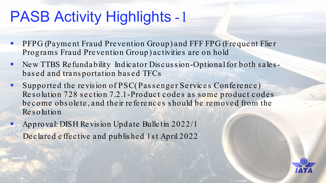- PFPG (Payment Fraud Prevention Group) and FFF FPG (Frequent Flier  $\blacksquare$ Programs Fraud Prevention Group) activities are on hold
- New TTBS Refundability Indicator Discussion-Optional for both sales- $\blacksquare$ based and transportation based TFCs
- Supported the revision of PSC(Passenger Services Conference)  $\blacksquare$ Resolution 728 section 7.2.1-Product codes as some product codes become obsolete, and their references should be removed from the Resolution
- Approval: DISH Revision Update Bulletin 2022/1  $\blacksquare$ Declared effective and published 1st April 2022

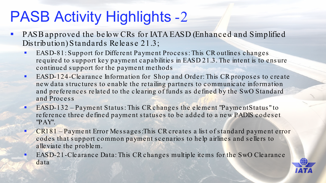- PASB approved the below CRs for IATA EASD (Enhanced and Simplified  $\mathcal{L}_{\mathcal{A}}$ Distribution) Standards Release 21.3;
	- EASD-81: Support for Different Payment Process: This CR outlines changes  $\blacksquare$ required to support key payment capabilities in EASD 21.3. The intent is to ensure continued support for the payment methods
	- EASD-124-Clearance Information for Shop and Order: This CR proposes to create  $\blacksquare$ new data structures to enable the retailing partners to communicate information and preferences related to the clearing of funds as defined by the SwO Standard and Process
	- EASD-132 Payment Status: This CR changes the element "Payment Status" to  $\blacksquare$ reference three defined payment statuses to be added to a new PADIS codeset "PAY".
	- CR181 Payment Error Messages: This CR creates a list of standard payment error  $\blacksquare$ codes that support common payment scenarios to help airlines and sellers to alleviate the problem.
	- EASD-21-Clearance Data: This CR changes multiple items for the SwO Clearance  $\blacksquare$ data

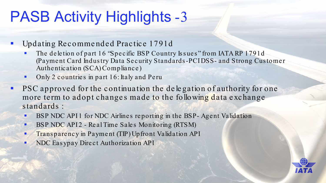#### Updating Recommended Practice 1791d  $\blacksquare$

- The deletion of part 16 "Specific BSP Country Issues" from IATA RP 1791d  $\blacksquare$ (Payment Card Industry Data Security Standards-PCIDSS- and Strong Customer Authentication (SCA) Compliance)
- Only 2 countries in part 16: Italy and Peru  $\blacksquare$
- PSC approved for the continuation the delegation of authority for one  $\blacksquare$ more term to adopt changes made to the following data exchange standards:
	- BSP NDC API1 for NDC Airlines reporting in the BSP-Agent Validation  $\blacksquare$
	- BSP NDC API2 Real Time Sales Monitoring (RTSM)  $\blacksquare$
	- Transparency in Payment (TIP) Up front Validation API  $\blacksquare$
	- NDC Easypay Direct Authorization API  $\blacksquare$